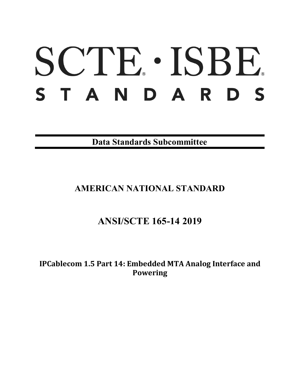# SCTE · ISBE. S T A N D A R D S

**Data Standards Subcommittee**

# **AMERICAN NATIONAL STANDARD**

# **ANSI/SCTE 165-14 2019**

**IPCablecom 1.5 Part 14: Embedded MTA Analog Interface and Powering**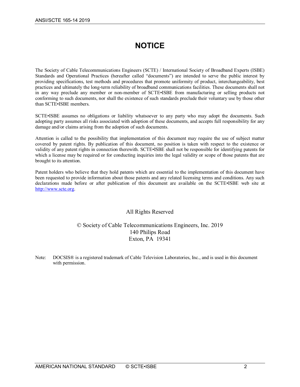# **NOTICE**

The Society of Cable Telecommunications Engineers (SCTE) / International Society of Broadband Experts (ISBE) Standards and Operational Practices (hereafter called "documents") are intended to serve the public interest by providing specifications, test methods and procedures that promote uniformity of product, interchangeability, best practices and ultimately the long-term reliability of broadband communications facilities. These documents shall not in any way preclude any member or non-member of SCTE•ISBE from manufacturing or selling products not conforming to such documents, nor shall the existence of such standards preclude their voluntary use by those other than SCTE•ISBE members.

SCTE•ISBE assumes no obligations or liability whatsoever to any party who may adopt the documents. Such adopting party assumes all risks associated with adoption of these documents, and accepts full responsibility for any damage and/or claims arising from the adoption of such documents.

Attention is called to the possibility that implementation of this document may require the use of subject matter covered by patent rights. By publication of this document, no position is taken with respect to the existence or validity of any patent rights in connection therewith. SCTE•ISBE shall not be responsible for identifying patents for which a license may be required or for conducting inquiries into the legal validity or scope of those patents that are brought to its attention.

Patent holders who believe that they hold patents which are essential to the implementation of this document have been requested to provide information about those patents and any related licensing terms and conditions. Any such declarations made before or after publication of this document are available on the SCTE•ISBE web site at [http://www.scte.org.](http://www.scte.org/)

# All Rights Reserved

# © Society of Cable Telecommunications Engineers, Inc. 2019 140 Philips Road Exton, PA 19341

Note: DOCSIS® is a registered trademark of Cable Television Laboratories, Inc., and is used in this document with permission.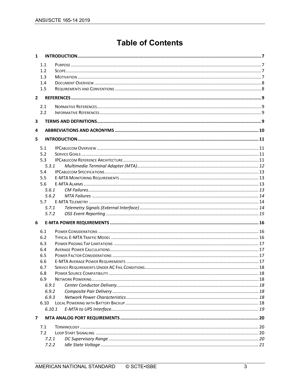# **Table of Contents**

| $\mathbf{1}$   |        |  |
|----------------|--------|--|
|                | 1.1    |  |
|                | 1.2    |  |
|                | 1.3    |  |
|                | 1.4    |  |
|                | 1.5    |  |
|                |        |  |
| $\overline{2}$ |        |  |
|                | 2.1    |  |
|                | 2.2    |  |
| 3              |        |  |
| 4              |        |  |
| 5              |        |  |
|                |        |  |
|                | 5.1    |  |
|                | 5.2    |  |
|                | 5.3    |  |
|                | 5.3.1  |  |
|                | 5.4    |  |
|                | 5.5    |  |
|                | 5.6    |  |
|                | 5.6.1  |  |
|                | 5.6.2  |  |
|                | 5.7    |  |
|                | 5.7.1  |  |
|                | 5.7.2  |  |
| 6              |        |  |
|                | 6.1    |  |
|                | 6.2    |  |
|                | 6.3    |  |
|                | 6.4    |  |
|                | 6.5    |  |
|                | 6.6    |  |
|                | 6.7    |  |
|                | 6.8    |  |
|                | 6.9    |  |
|                | 6.9.1  |  |
|                | 6.9.2  |  |
|                | 6.9.3  |  |
|                | 6.10   |  |
|                | 6.10.1 |  |
| 7              |        |  |
|                | 7.1    |  |
|                | 7.2    |  |
|                | 7.2.1  |  |
|                | 7.2.2  |  |
|                |        |  |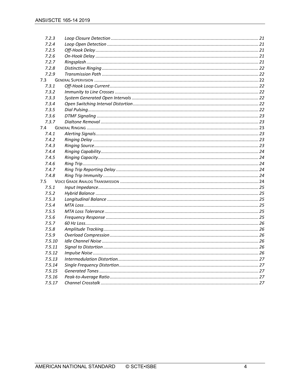| 7.2.3  |  |
|--------|--|
| 7.2.4  |  |
| 7.2.5  |  |
| 7.2.6  |  |
| 7.2.7  |  |
| 7.2.8  |  |
| 7.2.9  |  |
| 7.3    |  |
| 7.3.1  |  |
| 7.3.2  |  |
| 7.3.3  |  |
| 7.3.4  |  |
| 7.3.5  |  |
| 7.3.6  |  |
| 7.3.7  |  |
| 7.4    |  |
| 7.4.1  |  |
| 7.4.2  |  |
| 7.4.3  |  |
| 7.4.4  |  |
| 7.4.5  |  |
| 7.4.6  |  |
| 7.4.7  |  |
| 7.4.8  |  |
| 7.5    |  |
| 7.5.1  |  |
| 7.5.2  |  |
| 7.5.3  |  |
| 7.5.4  |  |
| 7.5.5  |  |
| 7.5.6  |  |
| 7.5.7  |  |
| 7.5.8  |  |
| 7.5.9  |  |
| 7.5.10 |  |
| 7.5.11 |  |
| 7.5.12 |  |
| 7.5.13 |  |
| 7.5.14 |  |
| 7.5.15 |  |
| 7.5.16 |  |
| 7.5.17 |  |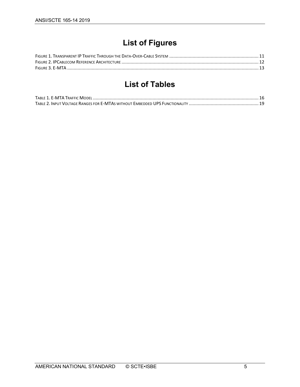# **List of Figures**

# **List of Tables**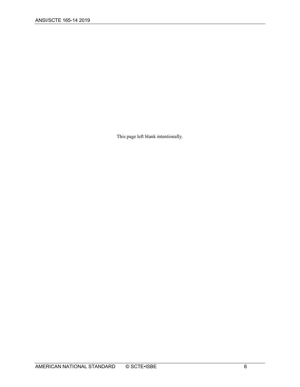This page left blank intentionally.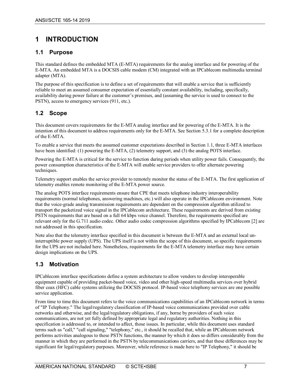# <span id="page-6-0"></span>**1 INTRODUCTION**

# <span id="page-6-1"></span>**1.1 Purpose**

This standard defines the embedded MTA (E-MTA) requirements for the analog interface and for powering of the E-MTA. An embedded MTA is a DOCSIS cable modem (CM) integrated with an IPCablecom multimedia terminal adapter (MTA).

The purpose of this specification is to define a set of requirements that will enable a service that is sufficiently reliable to meet an assumed consumer expectation of essentially constant availability, including, specifically, availability during power failure at the customer's premises, and (assuming the service is used to connect to the PSTN), access to emergency services (911, etc.).

# <span id="page-6-2"></span>**1.2 Scope**

This document covers requirements for the E-MTA analog interface and for powering of the E-MTA. It is the intention of this document to address requirements only for the E-MTA. See Section [5.3.1](#page-11-0) for a complete description of the E-MTA.

To enable a service that meets the assumed customer expectations described in Section [1.1,](#page-6-1) three E-MTA interfaces have been identified: (1) powering the E-MTA, (2) telemetry support, and (3) the analog POTS interface.

Powering the E-MTA is critical for the service to function during periods when utility power fails. Consequently, the power consumption characteristics of the E-MTA will enable service providers to offer alternate powering techniques.

Telemetry support enables the service provider to remotely monitor the status of the E-MTA. The first application of telemetry enables remote monitoring of the E-MTA power source.

The analog POTS interface requirements ensure that CPE that meets telephone industry interoperability requirements (normal telephones, answering machines, etc.) will also operate in the IPCablecom environment. Note that the voice-grade analog transmission requirements are dependent on the compression algorithm utilized to transport the packetized voice signal in the IPCablecom architecture. These requirements are derived from existing PSTN requirements that are based on a full 64 kbps voice channel. Therefore, the requirements specified are relevant only for the G.711 audio codec. Other audio codec compression algorithms specified by IPCablecom [\[2\]](#page-8-4) are not addressed in this specification.

Note also that the telemetry interface specified in this document is between the E-MTA and an external local uninterruptible power supply (UPS). The UPS itself is not within the scope of this document, so specific requirements for the UPS are not included here. Nonetheless, requirements for the E-MTA telemetry interface may have certain design implications on the UPS.

# <span id="page-6-3"></span>**1.3 Motivation**

IPCablecom interface specifications define a system architecture to allow vendors to develop interoperable equipment capable of providing packet-based voice, video and other high-speed multimedia services over hybrid fiber coax (HFC) cable systems utilizing the DOCSIS protocol. IP-based voice telephony services are one possible service application.

From time to time this document refers to the voice communications capabilities of an IPCablecom network in terms of "IP Telephony." The legal/regulatory classification of IP-based voice communications provided over cable networks and otherwise, and the legal/regulatory obligations, if any, borne by providers of such voice communications, are not yet fully defined by appropriate legal and regulatory authorities. Nothing in this specification is addressed to, or intended to affect, those issues. In particular, while this document uses standard terms such as "call," "call signaling," "telephony," etc., it should be recalled that, while an IPCablecom network performs activities analogous to these PSTN functions, the manner by which it does so differs considerably from the manner in which they are performed in the PSTN by telecommunications carriers, and that these differences may be significant for legal/regulatory purposes. Moreover, while reference is made here to "IP Telephony," it should be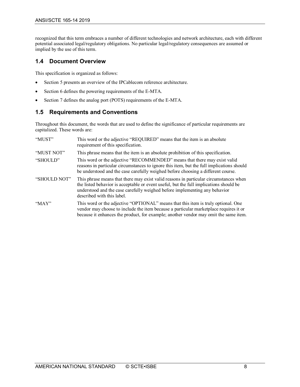recognized that this term embraces a number of different technologies and network architecture, each with different potential associated legal/regulatory obligations. No particular legal/regulatory consequences are assumed or implied by the use of this term.

# <span id="page-7-0"></span>**1.4 Document Overview**

This specification is organized as follows:

- Section [5](#page-10-0) presents an overview of the IPCablecom reference architecture.
- Section [6](#page-15-0) defines the powering requirements of the E-MTA.
- Section [7](#page-19-0) defines the analog port (POTS) requirements of the E-MTA.

# <span id="page-7-1"></span>**1.5 Requirements and Conventions**

Throughout this document, the words that are used to define the significance of particular requirements are capitalized. These words are:

| "MUST"       | This word or the adjective "REQUIRED" means that the item is an absolute<br>requirement of this specification.                                                                                                                                                                              |
|--------------|---------------------------------------------------------------------------------------------------------------------------------------------------------------------------------------------------------------------------------------------------------------------------------------------|
| "MUST NOT"   | This phrase means that the item is an absolute prohibition of this specification.                                                                                                                                                                                                           |
| "SHOULD"     | This word or the adjective "RECOMMENDED" means that there may exist valid<br>reasons in particular circumstances to ignore this item, but the full implications should<br>be understood and the case carefully weighed before choosing a different course.                                  |
| "SHOULD NOT" | This phrase means that there may exist valid reasons in particular circumstances when<br>the listed behavior is acceptable or event useful, but the full implications should be<br>understood and the case carefully weighed before implementing any behavior<br>described with this label. |
| "MAY"        | This word or the adjective "OPTIONAL" means that this item is truly optional. One<br>vendor may choose to include the item because a particular marketplace requires it or<br>because it enhances the product, for example; another vendor may omit the same item.                          |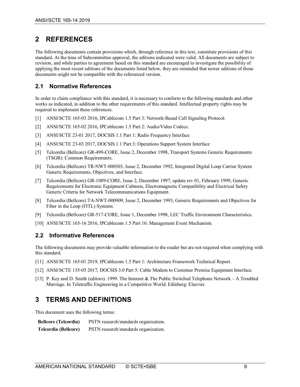# <span id="page-8-0"></span>**2 REFERENCES**

The following documents contain provisions which, through reference in this text, constitute provisions of this standard. At the time of Subcommittee approval, the editions indicated were valid. All documents are subject to revision, and while parties to agreement based on this standard are encouraged to investigate the possibility of applying the most recent editions of the documents listed below, they are reminded that newer editions of those documents might not be compatible with the referenced version.

# <span id="page-8-1"></span>**2.1 Normative References**

In order to claim compliance with this standard, it is necessary to conform to the following standards and other works as indicated, in addition to the other requirements of this standard. Intellectual property rights may be required to implement these references.

- <span id="page-8-14"></span>[1] ANSI/SCTE 165-03 2016, IPCablecom 1.5 Part 3: Network-Based Call Signaling Protocol.
- <span id="page-8-4"></span>[2] ANSI/SCTE 165-02 2016, IPCablecom 1.5 Part 2: Audio/Video Codecs.
- <span id="page-8-5"></span>[3] ANSI/SCTE 23-01 2017, DOCSIS 1.1 Part 1: Radio Frequency Interface
- <span id="page-8-8"></span>[4] ANSI/SCTE 23-03 2017, DOCSIS 1.1 Part 3: Operations Support System Interface
- <span id="page-8-13"></span>[5] Telcordia (Bellcore) GR-499-CORE, Issue 2, December 1998, Transport Systems Generic Requirements (TSGR): Common Requirements.
- <span id="page-8-15"></span>[6] Telcordia (Bellcore) TR-NWT-000303, Issue 2, December 1992, Integrated Digital Loop Carrier System Generic Requirements, Objectives, and Interface.
- <span id="page-8-16"></span>[7] Telcordia (Bellcore) GR-1089-CORE, Issue 2, December 1997, update rev 01, February 1999, Generic Requirements for Electronic Equipment Cabinets, Electromagnetic Compatibility and Electrical Safety Generic Criteria for Network Telecommunications Equipment.
- <span id="page-8-12"></span>[8] Telcordia (Bellcore) TA-NWT-000909, Issue 2, December 1993, Generic Requirements and Objectives for Fiber in the Loop (FITL) Systems.
- <span id="page-8-10"></span>[9] Telcordia (Bellcore) GR-517-CORE, Issue 1, December 1998, LEC Traffic Environment Characteristics.
- <span id="page-8-9"></span>[10] ANSI/SCTE 165-16 2016, IPCablecom 1.5 Part 16: Management Event Mechanism.

# <span id="page-8-2"></span>**2.2 Informative References**

The following documents may provide valuable information to the reader but are not required when complying with this standard.

- <span id="page-8-7"></span>[11] ANSI/SCTE 165-01 2019, IPCablecom 1.5 Part 1: Architecture Framework Technical Report.
- <span id="page-8-6"></span>[12] ANSI/SCTE 135-05 2017, DOCSIS 3.0 Part 5: Cable Modem to Customer Premise Equipment Interface.
- <span id="page-8-11"></span>[13] P. Key and D. Smith (editors). 1999. The Internet & The Public Switched Telephone Network – A Troubled Marriage. In Teletraffic Engineering in a Competitive World. Edinberg: Elsevier.

# <span id="page-8-3"></span>**3 TERMS AND DEFINITIONS**

This document uses the following terms:

| <b>Bellcore (Telcordia)</b> | PSTN research/standards organization. |
|-----------------------------|---------------------------------------|
| <b>Telcordia (Bellcore)</b> | PSTN research/standards organization. |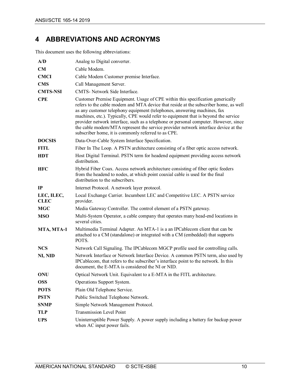# <span id="page-9-0"></span>**4 ABBREVIATIONS AND ACRONYMS**

This document uses the following abbreviations:

| A/D                       | Analog to Digital converter.                                                                                                                                                                                                                                                                                                                                                                                                                                                                                                                                                   |
|---------------------------|--------------------------------------------------------------------------------------------------------------------------------------------------------------------------------------------------------------------------------------------------------------------------------------------------------------------------------------------------------------------------------------------------------------------------------------------------------------------------------------------------------------------------------------------------------------------------------|
| CM                        | Cable Modem.                                                                                                                                                                                                                                                                                                                                                                                                                                                                                                                                                                   |
| <b>CMCI</b>               | Cable Modem Customer premise Interface.                                                                                                                                                                                                                                                                                                                                                                                                                                                                                                                                        |
| <b>CMS</b>                | Call Management Server.                                                                                                                                                                                                                                                                                                                                                                                                                                                                                                                                                        |
| <b>CMTS-NSI</b>           | CMTS- Network Side Interface.                                                                                                                                                                                                                                                                                                                                                                                                                                                                                                                                                  |
| <b>CPE</b>                | Customer Premise Equipment. Usage of CPE within this specification generically<br>refers to the cable modem and MTA device that reside at the subscriber home, as well<br>as any customer telephony equipment (telephones, answering machines, fax<br>machines, etc.). Typically, CPE would refer to equipment that is beyond the service<br>provider network interface, such as a telephone or personal computer. However, since<br>the cable modem/MTA represent the service provider network interface device at the<br>subscriber home, it is commonly referred to as CPE. |
| <b>DOCSIS</b>             | Data-Over-Cable System Interface Specification.                                                                                                                                                                                                                                                                                                                                                                                                                                                                                                                                |
| <b>FITL</b>               | Fiber In The Loop. A PSTN architecture consisting of a fiber optic access network.                                                                                                                                                                                                                                                                                                                                                                                                                                                                                             |
| <b>HDT</b>                | Host Digital Terminal. PSTN term for headend equipment providing access network<br>distribution.                                                                                                                                                                                                                                                                                                                                                                                                                                                                               |
| <b>HFC</b>                | Hybrid Fiber Coax. Access network architecture consisting of fiber optic feeders<br>from the headend to nodes, at which point coaxial cable is used for the final<br>distribution to the subscribers.                                                                                                                                                                                                                                                                                                                                                                          |
| IP                        | Internet Protocol. A network layer protocol.                                                                                                                                                                                                                                                                                                                                                                                                                                                                                                                                   |
| LEC, ILEC,<br><b>CLEC</b> | Local Exchange Carrier. Incumbent LEC and Competitive LEC. A PSTN service<br>provider.                                                                                                                                                                                                                                                                                                                                                                                                                                                                                         |
| <b>MGC</b>                | Media Gateway Controller. The control element of a PSTN gateway.                                                                                                                                                                                                                                                                                                                                                                                                                                                                                                               |
| <b>MSO</b>                | Multi-System Operator, a cable company that operates many head-end locations in<br>several cities.                                                                                                                                                                                                                                                                                                                                                                                                                                                                             |
| MTA, MTA-1                | Multimedia Terminal Adapter. An MTA-1 is a an IPCablecom client that can be<br>attached to a CM (standalone) or integrated with a CM (embedded) that supports<br>POTS.                                                                                                                                                                                                                                                                                                                                                                                                         |
| <b>NCS</b>                | Network Call Signaling. The IPCablecom MGCP profile used for controlling calls.                                                                                                                                                                                                                                                                                                                                                                                                                                                                                                |
| NI, NID                   | Network Interface or Network Interface Device. A common PSTN term, also used by<br>IPCablecom, that refers to the subscriber's interface point to the network. In this<br>document, the E-MTA is considered the NI or NID.                                                                                                                                                                                                                                                                                                                                                     |
| ONU                       | Optical Network Unit. Equivalent to a E-MTA in the FITL architecture.                                                                                                                                                                                                                                                                                                                                                                                                                                                                                                          |
| <b>OSS</b>                | Operations Support System.                                                                                                                                                                                                                                                                                                                                                                                                                                                                                                                                                     |
| <b>POTS</b>               | Plain Old Telephone Service.                                                                                                                                                                                                                                                                                                                                                                                                                                                                                                                                                   |
| <b>PSTN</b>               | Public Switched Telephone Network.                                                                                                                                                                                                                                                                                                                                                                                                                                                                                                                                             |
| <b>SNMP</b>               | Simple Network Management Protocol.                                                                                                                                                                                                                                                                                                                                                                                                                                                                                                                                            |
| <b>TLP</b>                | <b>Transmission Level Point</b>                                                                                                                                                                                                                                                                                                                                                                                                                                                                                                                                                |
| <b>UPS</b>                | Uninterruptible Power Supply. A power supply including a battery for backup power<br>when AC input power fails.                                                                                                                                                                                                                                                                                                                                                                                                                                                                |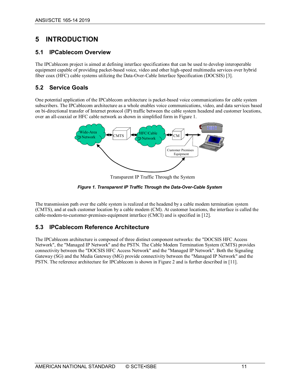# <span id="page-10-0"></span>**5 INTRODUCTION**

# <span id="page-10-1"></span>**5.1 IPCablecom Overview**

The IPCablecom project is aimed at defining interface specifications that can be used to develop interoperable equipment capable of providing packet-based voice, video and other high-speed multimedia services over hybrid fiber coax (HFC) cable systems utilizing the Data-Over-Cable Interface Specification (DOCSIS) [\[3\].](#page-8-5)

# <span id="page-10-2"></span>**5.2 Service Goals**

One potential application of the IPCablecom architecture is packet-based voice communications for cable system subscribers. The IPCablecom architecture as a whole enables voice communications, video, and data services based on bi-directional transfer of Internet protocol (IP) traffic between the cable system headend and customer locations, over an all-coaxial or HFC cable network as shown in simplified form in [Figure 1.](#page-10-4)



Transparent IP Traffic Through the System

*Figure 1. Transparent IP Traffic Through the Data-Over-Cable System*

<span id="page-10-4"></span>The transmission path over the cable system is realized at the headend by a cable modem termination system (CMTS), and at each customer location by a cable modem (CM). At customer locations, the interface is called the cable-modem-to-customer-premises-equipment interface (CMCI) and is specified in [\[12\].](#page-8-6) 

# <span id="page-10-3"></span>**5.3 IPCablecom Reference Architecture**

The IPCablecom architecture is composed of three distinct component networks: the "DOCSIS HFC Access Network", the "Managed IP Network" and the PSTN. The Cable Modem Termination System (CMTS) provides connectivity between the "DOCSIS HFC Access Network" and the "Managed IP Network". Both the Signaling Gateway (SG) and the Media Gateway (MG) provide connectivity between the "Managed IP Network" and the PSTN. The reference architecture for IPCablecom is shown in [Figure 2](#page-11-1) and is further described in [\[11\].](#page-8-7)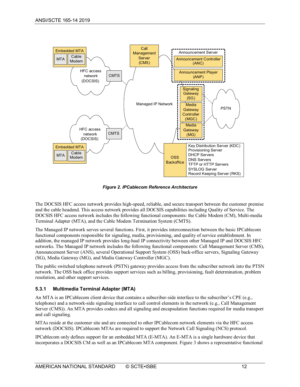

*Figure 2. IPCablecom Reference Architecture*

<span id="page-11-1"></span>The DOCSIS HFC access network provides high-speed, reliable, and secure transport between the customer premise and the cable headend. This access network provides all DOCSIS capabilities including Quality of Service. The DOCSIS HFC access network includes the following functional components: the Cable Modem (CM), Multi-media Terminal Adapter (MTA), and the Cable Modem Termination System (CMTS).

The Managed IP network serves several functions. First, it provides interconnection between the basic IPCablecom functional components responsible for signaling, media, provisioning, and quality of service establishment. In addition, the managed IP network provides long-haul IP connectivity between other Managed IP and DOCSIS HFC networks. The Managed IP network includes the following functional components: Call Management Server (CMS), Announcement Server (ANS), several Operational Support System (OSS) back-office servers, Signaling Gateway (SG), Media Gateway (MG), and Media Gateway Controller (MGC).

The public switched telephone network (PSTN) gateway provides access from the subscriber network into the PTSN network. The OSS back office provides support services such as billing, provisioning, fault determination, problem resolution, and other support services.

# <span id="page-11-0"></span>**5.3.1 Multimedia Terminal Adapter (MTA)**

An MTA is an IPCablecom client device that contains a subscriber-side interface to the subscriber's CPE (e.g., telephone) and a network-side signaling interface to call control elements in the network (e.g., Call Management Server (CMS)). An MTA provides codecs and all signaling and encapsulation functions required for media transport and call signaling.

MTAs reside at the customer site and are connected to other IPCablecom network elements via the HFC access network (DOCSIS). IPCablecom MTAs are required to support the Network Call Signaling (NCS) protocol.

IPCablecom only defines support for an embedded MTA (E-MTA). An E-MTA is a single hardware device that incorporates a DOCSIS CM as well as an IPCablecom MTA component[. Figure 3](#page-12-4) shows a representative functional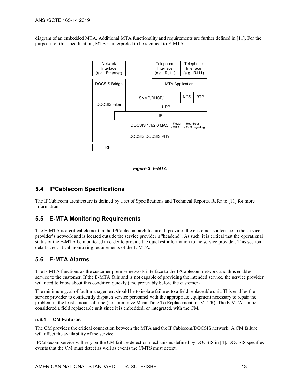diagram of an embedded MTA. Additional MTA functionality and requirements are further defined in [\[11\].](#page-8-7) For the purposes of this specification, MTA is interpreted to be identical to E-MTA.



*Figure 3. E-MTA*

# <span id="page-12-4"></span><span id="page-12-0"></span>**5.4 IPCablecom Specifications**

The IPCablecom architecture is defined by a set of Specifications and Technical Reports. Refer to [\[11\]](#page-8-7) for more information.

# <span id="page-12-1"></span>**5.5 E-MTA Monitoring Requirements**

The E-MTA is a critical element in the IPCablecom architecture. It provides the customer's interface to the service provider's network and is located outside the service provider's "headend". As such, it is critical that the operational status of the E-MTA be monitored in order to provide the quickest information to the service provider. This section details the critical monitoring requirements of the E-MTA.

# <span id="page-12-2"></span>**5.6 E-MTA Alarms**

The E-MTA functions as the customer premise network interface to the IPCablecom network and thus enables service to the customer. If the E-MTA fails and is not capable of providing the intended service, the service provider will need to know about this condition quickly (and preferably before the customer).

The minimum goal of fault management should be to isolate failures to a field replaceable unit. This enables the service provider to confidently dispatch service personnel with the appropriate equipment necessary to repair the problem in the least amount of time (i.e., minimize Mean Time To Replacement, or MTTR). The E-MTA can be considered a field replaceable unit since it is embedded, or integrated, with the CM.

# <span id="page-12-3"></span>**5.6.1 CM Failures**

The CM provides the critical connection between the MTA and the IPCablecom/DOCSIS network. A CM failure will affect the availability of the service.

IPCablecom service will rely on the CM failure detection mechanisms defined by DOCSIS in [\[4\].](#page-8-8) DOCSIS specifies events that the CM must detect as well as events the CMTS must detect.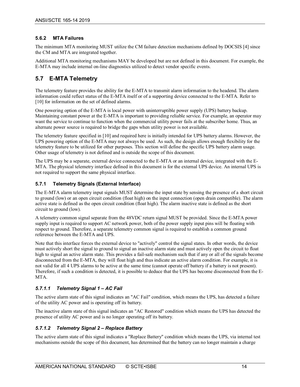# <span id="page-13-0"></span>**5.6.2 MTA Failures**

The minimum MTA monitoring MUST utilize the CM failure detection mechanisms defined by DOCSIS [\[4\]](#page-8-8) since the CM and MTA are integrated together.

Additional MTA monitoring mechanisms MAY be developed but are not defined in this document. For example, the E-MTA may include internal on-line diagnostics utilized to detect vendor specific events.

# <span id="page-13-1"></span>**5.7 E-MTA Telemetry**

The telemetry feature provides the ability for the E-MTA to transmit alarm information to the headend. The alarm information could reflect status of the E-MTA itself or of a supporting device connected to the E-MTA. Refer to [\[10\]](#page-8-9) for information on the set of defined alarms.

One powering option of the E-MTA is local power with uninterruptible power supply (UPS) battery backup. Maintaining constant power at the E-MTA is important to providing reliable service. For example, an operator may want the service to continue to function when the commercial utility power fails at the subscriber home. Thus, an alternate power source is required to bridge the gaps when utility power is not available.

The telemetry feature specified in [\[10\]](#page-8-9) and required here is initially intended for UPS battery alarms. However, the UPS powering option of the E-MTA may not always be used. As such, the design allows enough flexibility for the telemetry feature to be utilized for other purposes. This section will define the specific UPS battery alarm usage. Other usage of telemetry is not defined and is outside the scope of this document.

The UPS may be a separate, external device connected to the E-MTA or an internal device, integrated with the E-MTA. The physical telemetry interface defined in this document is for the external UPS device. An internal UPS is not required to support the same physical interface.

# <span id="page-13-2"></span>**5.7.1 Telemetry Signals (External Interface)**

The E-MTA alarm telemetry input signals MUST determine the input state by sensing the presence of a short circuit to ground (low) or an open circuit condition (float high) on the input connection (open drain compatible). The alarm active state is defined as the open circuit condition (float high). The alarm inactive state is defined as the short circuit to ground (low).

A telemetry common signal separate from the 48VDC return signal MUST be provided. Since the E-MTA power supply input is required to support AC network power, both of the power supply input pins will be floating with respect to ground. Therefore, a separate telemetry common signal is required to establish a common ground reference between the E-MTA and UPS.

Note that this interface forces the external device to "actively" control the signal states. In other words, the device must actively short the signal to ground to signal an inactive alarm state and must actively open the circuit to float high to signal an active alarm state. This provides a fail-safe mechanism such that if any or all of the signals become disconnected from the E-MTA, they will float high and thus indicate an active alarm condition. For example, it is not valid for all 4 UPS alarms to be active at the same time (cannot operate off battery if a battery is not present). Therefore, if such a condition is detected, it is possible to deduce that the UPS has become disconnected from the E-MTA.

# *5.7.1.1 Telemetry Signal 1 – AC Fail*

The active alarm state of this signal indicates an "AC Fail" condition, which means the UPS, has detected a failure of the utility AC power and is operating off its battery.

The inactive alarm state of this signal indicates an "AC Restored" condition which means the UPS has detected the presence of utility AC power and is no longer operating off its battery.

# *5.7.1.2 Telemetry Signal 2 – Replace Battery*

The active alarm state of this signal indicates a "Replace Battery" condition which means the UPS, via internal test mechanisms outside the scope of this document, has determined that the battery can no longer maintain a charge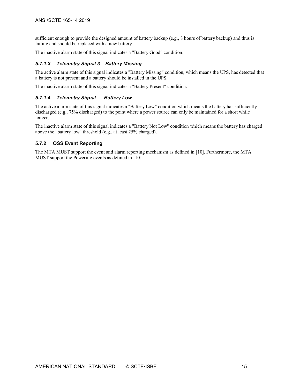sufficient enough to provide the designed amount of battery backup (e.g., 8 hours of battery backup) and thus is failing and should be replaced with a new battery.

The inactive alarm state of this signal indicates a "Battery Good" condition.

# *5.7.1.3 Telemetry Signal 3 – Battery Missing*

The active alarm state of this signal indicates a "Battery Missing" condition, which means the UPS, has detected that a battery is not present and a battery should be installed in the UPS.

The inactive alarm state of this signal indicates a "Battery Present" condition.

# *5.7.1.4 Telemetry Signal – Battery Low*

The active alarm state of this signal indicates a "Battery Low" condition which means the battery has sufficiently discharged (e.g., 75% discharged) to the point where a power source can only be maintained for a short while longer.

The inactive alarm state of this signal indicates a "Battery Not Low" condition which means the battery has charged above the "battery low" threshold (e.g., at least 25% charged).

# <span id="page-14-0"></span>**5.7.2 OSS Event Reporting**

The MTA MUST support the event and alarm reporting mechanism as defined i[n \[10\].](#page-8-9) Furthermore, the MTA MUST support the Powering events as defined in [\[10\].](#page-8-9)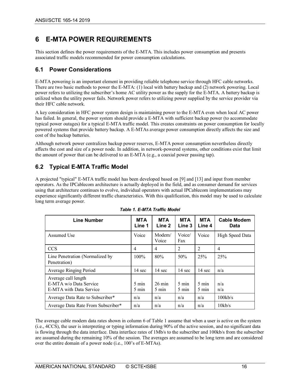# <span id="page-15-0"></span>**6 E-MTA POWER REQUIREMENTS**

This section defines the power requirements of the E-MTA. This includes power consumption and presents associated traffic models recommended for power consumption calculations.

# <span id="page-15-1"></span>**6.1 Power Considerations**

E-MTA powering is an important element in providing reliable telephone service through HFC cable networks. There are two basic methods to power the E-MTA: (1) local with battery backup and (2) network powering. Local power refers to utilizing the subscriber's home AC utility power as the supply for the E-MTA. A battery backup is utilized when the utility power fails. Network power refers to utilizing power supplied by the service provider via their HFC cable network.

A key consideration in HFC power system design is maintaining power to the E-MTA even when local AC power has failed. In general, the power system should provide a E-MTA with sufficient backup power (to accommodate typical power outages) for a typical E-MTA traffic model. This creates constraints on power consumption for locally powered systems that provide battery backup. A E-MTAs average power consumption directly affects the size and cost of the backup batteries.

Although network power centralizes backup power reserves, E-MTA power consumption nevertheless directly affects the cost and size of a power node. In addition, in network-powered systems, other conditions exist that limit the amount of power that can be delivered to an E-MTA (e.g., a coaxial power passing tap).

# <span id="page-15-2"></span>**6.2 Typical E-MTA Traffic Model**

A projected "typical" E-MTA traffic model has been developed based on [\[9\]](#page-8-10) an[d \[13\]](#page-8-11) and input from member operators. As the IPCablecom architecture is actually deployed in the field, and as consumer demand for services using that architecture continues to evolve, individual operators with actual IPCablecom implementations may experience significantly different traffic characteristics. With this qualification, this model may be used to calculate long term average power.

<span id="page-15-3"></span>

| <b>Line Number</b>                                                       | <b>MTA</b><br>Line 1               | <b>MTA</b><br>Line 2                | <b>MTA</b><br>Line 3               | <b>MTA</b><br>Line 4               | <b>Cable Modem</b><br><b>Data</b> |
|--------------------------------------------------------------------------|------------------------------------|-------------------------------------|------------------------------------|------------------------------------|-----------------------------------|
| Assumed Use                                                              | Voice                              | Modem/<br>Voice                     | Voice/<br>Fax                      | Voice                              | High Speed Data                   |
| <b>CCS</b>                                                               | 4                                  | $\overline{4}$                      | 2                                  | 2                                  | 4                                 |
| Line Penetration (Normalized by<br>Penetration)                          | $100\%$                            | 80%                                 | 50%                                | 25%                                | 25%                               |
| Average Ringing Period                                                   | $14 \text{ sec}$                   | $14 \text{ sec}$                    | $14 \text{ sec}$                   | $14 \text{ sec}$                   | n/a                               |
| Average call length<br>E-MTA w/o Data Service<br>E-MTA with Data Service | $5 \text{ min}$<br>$5 \text{ min}$ | $26 \text{ min}$<br>$5 \text{ min}$ | $5 \text{ min}$<br>$5 \text{ min}$ | $5 \text{ min}$<br>$5 \text{ min}$ | n/a<br>n/a                        |
| Average Data Rate to Subscriber*                                         | n/a                                | n/a                                 | n/a                                | n/a                                | 100kb/s                           |
| Average Data Rate From Subscriber*                                       | n/a                                | n/a                                 | n/a                                | n/a                                | 10kb/s                            |

| <b>Table 1. E-MTA Traffic Model</b> |  |  |  |  |  |
|-------------------------------------|--|--|--|--|--|
|-------------------------------------|--|--|--|--|--|

The average cable modem data rates shown in column 6 of [Table 1](#page-15-3) assume that when a user is active on the system (i.e., 4CCS), the user is interpreting or typing information during 90% of the active session, and no significant data is flowing through the data interface. Data interface rates of 1Mb/s to the subscriber and 100kb/s from the subscriber are assumed during the remaining 10% of the session. The averages are assumed to be long term and are considered over the entire domain of a power node (i.e., 100's of E-MTAs).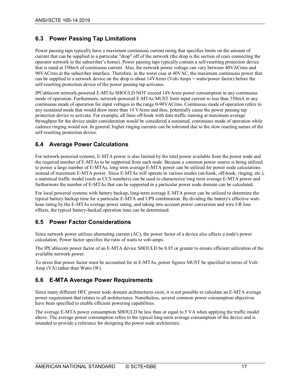# <span id="page-16-0"></span>**6.3 Power Passing Tap Limitations**

Power passing taps typically have a maximum continuous current rating that specifies limits on the amount of current that can be supplied to a particular "drop" off of the network (the drop is the section of coax connecting the operator network to the subscriber's home). Power passing taps typically contain a self-resetting protection device that is rated at 350mA of continuous current. Also, the network power voltage can vary between 40VACrms and 90VACrms at the subscriber interface. Therefore, in the worst case at 40VAC, the maximum continuous power that can be supplied to a network device on the drop is about 14VArms (Volt-Amps = watts/power factor) before the self-resetting protection device of the power passing tap activates.

IPCablecom network-powered E-MTAs SHOULD NOT exceed 14VArms power consumption in any continuous mode of operation. Furthermore, network-powered E-MTAs MUST limit input current to less than 350mA in any continuous mode of operation for input voltages in the range 0-90VACrms. Continuous mode of operation refers to any sustained mode that would draw more than 14 VArms and thus, potentially cause the power passing tap protection device to activate. For example, all lines off-hook with data traffic running at maximum average throughput for the device under consideration would be considered a sustained, continuous mode of operation while cadence ringing would not. In general, higher ringing currents can be tolerated due to the slow reacting nature of the self-resetting protection device.

# <span id="page-16-1"></span>**6.4 Average Power Calculations**

For network-powered systems, E-MTA power is also limited by the total power available from the power node and the required number of E-MTAs to be supported from each node. Because a common power source is being utilized to power a large number of E-MTAs, long term average E-MTA power can be utilized for power node calculations instead of maximum E-MTA power. Since E-MTAs will operate in various modes (on-hook, off-hook, ringing, etc.), a statistical traffic model (such as CCS numbers) can be used to characterize long term average E-MTA power and furthermore the number of E-MTAs that can be supported in a particular power node domain can be calculated.

For local powered systems with battery backup, long-term average E-MTA power can be utilized to determine the typical battery backup time for a particular E-MTA and UPS combination. By dividing the battery's effective watthour rating by the E-MTAs average power rating, and taking into account power conversion and wire I-R loss effects, the typical battery-backed operation time can be determined.

# <span id="page-16-2"></span>**6.5 Power Factor Considerations**

Since network power utilizes alternating current (AC), the power factor of a device also affects a node's power calculation. Power factor specifies the ratio of watts to volt-amps.

The IPCablecom power factor of an E-MTA device SHOULD be 0.85 or greater to ensure efficient utilization of the available network power.

To stress that power factor must be accounted for in E-MTAs, power figures MUST be specified in terms of Volt-Amp (VA) rather than Watts (W).

# <span id="page-16-3"></span>**6.6 E-MTA Average Power Requirements**

Since many different HFC power node domain architectures exist, it is not possible to calculate an E-MTA average power requirement that relates to all architectures. Nonetheless, several common power consumption objectives have been specified to enable efficient powering capabilities.

The average E-MTA power consumption SHOULD be less than or equal to 5 VA when applying the traffic model above. The average power consumption refers to the typical long-term average consumption of the device and is intended to provide a reference for designing the power node architecture.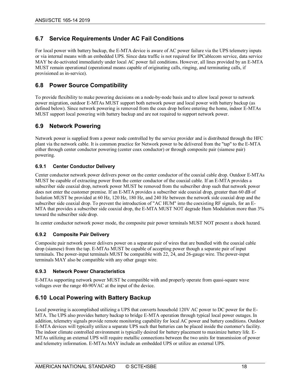# <span id="page-17-0"></span>**6.7 Service Requirements Under AC Fail Conditions**

For local power with battery backup, the E-MTA device is aware of AC power failure via the UPS telemetry inputs or via internal means with an embedded UPS. Since data traffic is not required for IPCablecom service, data service MAY be de-activated immediately under local AC power fail conditions. However, all lines provided by an E-MTA MUST remain operational (operational means capable of originating calls, ringing, and terminating calls, if provisioned as in-service).

# <span id="page-17-1"></span>**6.8 Power Source Compatibility**

To provide flexibility to make powering decisions on a node-by-node basis and to allow local power to network power migration, outdoor E-MTAs MUST support both network power and local power with battery backup (as defined below). Since network powering is removed from the coax drop before entering the home, indoor E-MTAs MUST support local powering with battery backup and are not required to support network power.

# <span id="page-17-2"></span>**6.9 Network Powering**

Network power is supplied from a power node controlled by the service provider and is distributed through the HFC plant via the network cable. It is common practice for Network power to be delivered from the "tap" to the E-MTA either through center conductor powering (center coax conductor) or through composite pair (siamese pair) powering.

# <span id="page-17-3"></span>**6.9.1 Center Conductor Delivery**

Center conductor network power delivers power on the center conductor of the coaxial cable drop. Outdoor E-MTAs MUST be capable of extracting power from the center conductor of the coaxial cable. If an E-MTA provides a subscriber side coaxial drop, network power MUST be removed from the subscriber drop such that network power does not enter the customer premise. If an E-MTA provides a subscriber side coaxial drop, greater than 60 dB of Isolation MUST be provided at 60 Hz, 120 Hz, 180 Hz, and 240 Hz between the network side coaxial drop and the subscriber side coaxial drop. To prevent the introduction of "AC HUM" into the coexisting RF signals, for an E-MTA that provides a subscriber side coaxial drop, the E-MTA MUST NOT degrade Hum Modulation more than 3% toward the subscriber side drop.

In center conductor network power mode, the composite pair power terminals MUST NOT present a shock hazard.

# <span id="page-17-4"></span>**6.9.2 Composite Pair Delivery**

Composite pair network power delivers power on a separate pair of wires that are bundled with the coaxial cable drop (siamese) from the tap. E-MTAs MUST be capable of accepting power though a separate pair of input terminals. The power-input terminals MUST be compatible with 22, 24, and 26-gauge wire. The power-input terminals MAY also be compatible with any other gauge wire.

# <span id="page-17-5"></span>**6.9.3 Network Power Characteristics**

E-MTAs supporting network power MUST be compatible with and properly operate from quasi-square wave voltages over the range 40-90VAC at the input of the device.

# <span id="page-17-6"></span>**6.10 Local Powering with Battery Backup**

Local powering is accomplished utilizing a UPS that converts household 120V AC power to DC power for the E-MTA. The UPS also provides battery backup to bridge E-MTA operation through typical local power outages. In addition, telemetry signals provide remote monitoring capability for local AC power and battery conditions. Outdoor E-MTA devices will typically utilize a separate UPS such that batteries can be placed inside the customer's facility. The indoor climate controlled environment is typically desired for battery placement to maximize battery life. E-MTAs utilizing an external UPS will require metallic connections between the two units for transmission of power and telemetry information. E-MTAs MAY include an embedded UPS or utilize an external UPS.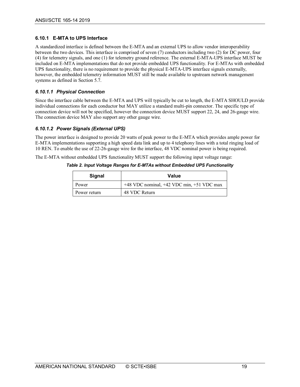# <span id="page-18-0"></span>**6.10.1 E-MTA to UPS Interface**

A standardized interface is defined between the E-MTA and an external UPS to allow vendor interoperability between the two devices. This interface is comprised of seven (7) conductors including two (2) for DC power, four (4) for telemetry signals, and one (1) for telemetry ground reference. The external E-MTA-UPS interface MUST be included on E-MTA implementations that do not provide embedded UPS functionality. For E-MTAs with embedded UPS functionality, there is no requirement to provide the physical E-MTA-UPS interface signals externally, however, the embedded telemetry information MUST still be made available to upstream network management systems as defined in Section [5.7.](#page-13-1)

#### *6.10.1.1 Physical Connection*

Since the interface cable between the E-MTA and UPS will typically be cut to length, the E-MTA SHOULD provide individual connections for each conductor but MAY utilize a standard multi-pin connector. The specific type of connection device will not be specified, however the connection device MUST support 22, 24, and 26-gauge wire. The connection device MAY also support any other gauge wire.

#### *6.10.1.2 Power Signals (External UPS)*

The power interface is designed to provide 20 watts of peak power to the E-MTA which provides ample power for E-MTA implementations supporting a high speed data link and up to 4 telephony lines with a total ringing load of 10 REN. To enable the use of 22-26-gauge wire for the interface, 48 VDC nominal power is being required.

<span id="page-18-1"></span>The E-MTA without embedded UPS functionality MUST support the following input voltage range:

*Table 2. Input Voltage Ranges for E-MTAs without Embedded UPS Functionality*

| <b>Signal</b> | Value                                           |
|---------------|-------------------------------------------------|
| Power         | $+48$ VDC nominal, $+42$ VDC min, $+51$ VDC max |
| Power return  | 48 VDC Return                                   |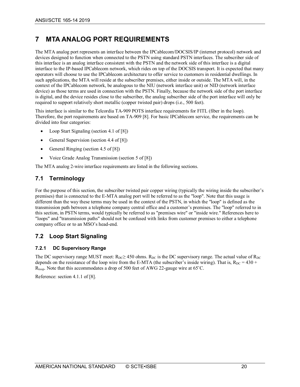# <span id="page-19-0"></span>**7 MTA ANALOG PORT REQUIREMENTS**

The MTA analog port represents an interface between the IPCablecom/DOCSIS/IP (internet protocol) network and devices designed to function when connected to the PSTN using standard PSTN interfaces. The subscriber side of this interface is an analog interface consistent with the PSTN and the network side of this interface is a digital interface to the IP-based IPCablecom network, which rides on top of the DOCSIS transport. It is expected that many operators will choose to use the IPCablecom architecture to offer service to customers in residential dwellings. In such applications, the MTA will reside at the subscriber premises, either inside or outside. The MTA will, in the context of the IPCablecom network, be analogous to the NIU (network interface unit) or NID (network interface device) as those terms are used in connection with the PSTN. Finally, because the network side of the port interface is digital, and the device resides close to the subscriber, the analog subscriber side of the port interface will only be required to support relatively short metallic (copper twisted pair) drops (i.e., 500 feet).

This interface is similar to the Telcordia TA-909 POTS interface requirements for FITL (fiber in the loop). Therefore, the port requirements are based on TA-909 [\[8\].](#page-8-12) For basic IPCablecom service, the requirements can be divided into four categories:

- Loop Start Signaling (section 4.1 o[f \[8\]\)](#page-8-12)
- General Supervision (section 4.4 of [\[8\]\)](#page-8-12)
- General Ringing (section 4.5 o[f \[8\]\)](#page-8-12)
- Voice Grade Analog Transmission (section 5 of [\[8\]\)](#page-8-12)

The MTA analog 2-wire interface requirements are listed in the following sections.

# <span id="page-19-1"></span>**7.1 Terminology**

For the purpose of this section, the subscriber twisted pair copper wiring (typically the wiring inside the subscriber's premises) that is connected to the E-MTA analog port will be referred to as the "loop". Note that this usage is different than the way these terms may be used in the context of the PSTN, in which the "loop" is defined as the transmission path between a telephone company central office and a customer's premises. The "loop" referred to in this section, in PSTN terms, would typically be referred to as "premises wire" or "inside wire." References here to "loops" and "transmission paths" should not be confused with links from customer premises to either a telephone company office or to an MSO's head-end.

# <span id="page-19-2"></span>**7.2 Loop Start Signaling**

# <span id="page-19-3"></span>**7.2.1 DC Supervisory Range**

The DC supervisory range MUST meet:  $R_{DC} \ge 450$  ohms.  $R_{DC}$  is the DC supervisory range. The actual value of  $R_{DC}$ depends on the resistance of the loop wire from the E-MTA (the subscriber's inside wiring). That is,  $R_{DC} = 430 +$ Rloop. Note that this accommodates a drop of 500 feet of AWG 22-gauge wire at 65˚C.

Reference: section 4.1.1 of [\[8\].](#page-8-12)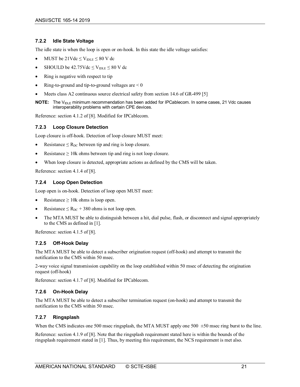# <span id="page-20-0"></span>**7.2.2 Idle State Voltage**

The idle state is when the loop is open or on-hook. In this state the idle voltage satisfies:

- MUST be  $21 \text{Vdc} \leq \text{V}_{\text{DLE}} \leq 80 \text{ V dc}$
- SHOULD be  $42.75$ Vdc  $\leq$  V<sub>IDLE</sub>  $\leq$  80 V dc
- Ring is negative with respect to tip
- Ring-to-ground and tip-to-ground voltages are  $< 0$
- Meets class A2 continuous source electrical safety from section 14.6 of GR-499 [\[5\]](#page-8-13)
- **NOTE:** The V<sub>IDLE</sub> minimum recommendation has been added for IPCablecom. In some cases, 21 Vdc causes interoperability problems with certain CPE devices.

Reference: section 4.1.2 of [\[8\].](#page-8-12) Modified for IPCablecom.

# <span id="page-20-1"></span>**7.2.3 Loop Closure Detection**

Loop closure is off-hook. Detection of loop closure MUST meet:

- Resistance  $\leq R_{DC}$  between tip and ring is loop closure.
- Resistance  $\geq 10k$  ohms between tip and ring is not loop closure.
- When loop closure is detected, appropriate actions as defined by the CMS will be taken.

Reference: section 4.1.4 of [\[8\].](#page-8-12)

# <span id="page-20-2"></span>**7.2.4 Loop Open Detection**

Loop open is on-hook. Detection of loop open MUST meet:

- Resistance  $\geq 10k$  ohms is loop open.
- Resistance  $\leq R_{DC} + 380$  ohms is not loop open.
- The MTA MUST be able to distinguish between a hit, dial pulse, flash, or disconnect and signal appropriately to the CMS as defined in [\[1\].](#page-8-14)

Reference: section 4.1.5 of [\[8\].](#page-8-12)

# <span id="page-20-3"></span>**7.2.5 Off-Hook Delay**

The MTA MUST be able to detect a subscriber origination request (off-hook) and attempt to transmit the notification to the CMS within 50 msec.

2-way voice signal transmission capability on the loop established within 50 msec of detecting the origination request (off-hook)

Reference: section 4.1.7 of [\[8\].](#page-8-12) Modified for IPCablecom.

# <span id="page-20-4"></span>**7.2.6 On-Hook Delay**

The MTA MUST be able to detect a subscriber termination request (on-hook) and attempt to transmit the notification to the CMS within 50 msec.

# <span id="page-20-5"></span>**7.2.7 Ringsplash**

When the CMS indicates one 500 msec ringsplash, the MTA MUST apply one 500  $\pm$ 50 msec ring burst to the line.

Reference: section 4.1.9 of [\[8\].](#page-8-12) Note that the ringsplash requirement stated here is within the bounds of the ringsplash requirement stated i[n \[1\].](#page-8-14) Thus, by meeting this requirement, the NCS requirement is met also.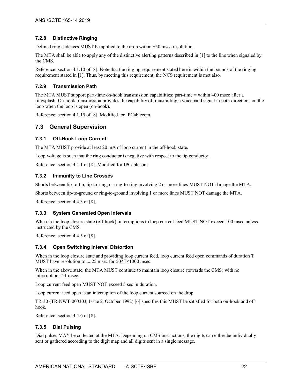# <span id="page-21-0"></span>**7.2.8 Distinctive Ringing**

Defined ring cadences MUST be applied to the drop within  $\pm 50$  msec resolution.

The MTA shall be able to apply any of the distinctive alerting patterns described in [\[1\]](#page-8-14) to the line when signaled by the CMS.

Reference: section 4.1.10 of [\[8\].](#page-8-12) Note that the ringing requirement stated here is within the bounds of the ringing requirement stated in [\[1\].](#page-8-14) Thus, by meeting this requirement, the NCS requirement is met also.

#### <span id="page-21-1"></span>**7.2.9 Transmission Path**

The MTA MUST support part-time on-hook transmission capabilities: part-time = within 400 msec after a ringsplash. On-hook transmission provides the capability of transmitting a voiceband signal in both directions on the loop when the loop is open (on-hook).

Reference: section 4.1.15 of [\[8\].](#page-8-12) Modified for IPCablecom.

# <span id="page-21-2"></span>**7.3 General Supervision**

#### <span id="page-21-3"></span>**7.3.1 Off-Hook Loop Current**

The MTA MUST provide at least 20 mA of loop current in the off-hook state.

Loop voltage is such that the ring conductor is negative with respect to the tip conductor.

Reference: section 4.4.1 of [\[8\].](#page-8-12) Modified for IPCablecom.

#### <span id="page-21-4"></span>**7.3.2 Immunity to Line Crosses**

Shorts between tip-to-tip, tip-to-ring, or ring-to-ring involving 2 or more lines MUST NOT damage the MTA.

Shorts between tip-to-ground or ring-to-ground involving 1 or more lines MUST NOT damage the MTA.

Reference: section 4.4.3 of [\[8\].](#page-8-12)

#### <span id="page-21-5"></span>**7.3.3 System Generated Open Intervals**

When in the loop closure state (off-hook), interruptions to loop current feed MUST NOT exceed 100 msec unless instructed by the CMS.

Reference: section 4.4.5 of [\[8\].](#page-8-12)

#### <span id="page-21-6"></span>**7.3.4 Open Switching Interval Distortion**

When in the loop closure state and providing loop current feed, loop current feed open commands of duration T MUST have resolution to  $\pm 25$  msec for 50≤T≤1000 msec.

When in the above state, the MTA MUST continue to maintain loop closure (towards the CMS) with no interruptions >1 msec.

Loop current feed open MUST NOT exceed 5 sec in duration.

Loop current feed open is an interruption of the loop current sourced on the drop.

TR-30 (TR-NWT-000303, Issue 2, October 1992[\) \[6\]](#page-8-15) specifies this MUST be satisfied for both on-hook and offhook.

Reference: section 4.4.6 of [\[8\].](#page-8-12)

#### <span id="page-21-7"></span>**7.3.5 Dial Pulsing**

Dial pulses MAY be collected at the MTA. Depending on CMS instructions, the digits can either be individually sent or gathered according to the digit map and all digits sent in a single message.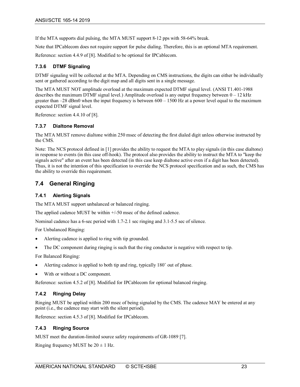If the MTA supports dial pulsing, the MTA MUST support 8-12 pps with 58-64% break.

Note that IPCablecom does not require support for pulse dialing. Therefore, this is an optional MTA requirement.

Reference: section 4.4.9 of [\[8\].](#page-8-12) Modified to be optional for IPCablecom.

# <span id="page-22-0"></span>**7.3.6 DTMF Signaling**

DTMF signaling will be collected at the MTA. Depending on CMS instructions, the digits can either be individually sent or gathered according to the digit map and all digits sent in a single message.

The MTA MUST NOT amplitude overload at the maximum expected DTMF signal level. (ANSI T1.401-1988 describes the maximum DTMF signal level.) Amplitude overload is any output frequency between  $0 - 12$  kHz greater than  $-28$  dBm0 when the input frequency is between  $600 - 1500$  Hz at a power level equal to the maximum expected DTMF signal level.

Reference: section 4.4.10 of [\[8\].](#page-8-12)

#### <span id="page-22-1"></span>**7.3.7 Dialtone Removal**

The MTA MUST remove dialtone within 250 msec of detecting the first dialed digit unless otherwise instructed by the CMS.

Note: The NCS protocol defined in [\[1\]](#page-8-14) provides the ability to request the MTA to play signals (in this case dialtone) in response to events (in this case off-hook). The protocol also provides the ability to instruct the MTA to "keep the signals active" after an event has been detected (in this case keep dialtone active even if a digit has been detected). Thus, it is not the intention of this specification to override the NCS protocol specification and as such, the CMS has the ability to override this requirement.

# <span id="page-22-2"></span>**7.4 General Ringing**

# <span id="page-22-3"></span>**7.4.1 Alerting Signals**

The MTA MUST support unbalanced or balanced ringing.

The applied cadence MUST be within +/-50 msec of the defined cadence.

Nominal cadence has a 6-sec period with 1.7-2.1 sec ringing and 3.1-5.5 sec of silence.

For Unbalanced Ringing:

- Alerting cadence is applied to ring with tip grounded.
- The DC component during ringing is such that the ring conductor is negative with respect to tip.

For Balanced Ringing:

- Alerting cadence is applied to both tip and ring, typically 180° out of phase.
- With or without a DC component.

Reference: section 4.5.2 of [\[8\].](#page-8-12) Modified for IPCablecom for optional balanced ringing.

# <span id="page-22-4"></span>**7.4.2 Ringing Delay**

Ringing MUST be applied within 200 msec of being signaled by the CMS. The cadence MAY be entered at any point (i.e., the cadence may start with the silent period).

Reference: section 4.5.3 of [\[8\].](#page-8-12) Modified for IPCablecom.

# <span id="page-22-5"></span>**7.4.3 Ringing Source**

MUST meet the duration-limited source safety requirements of GR-108[9 \[7\].](#page-8-16)

Ringing frequency MUST be  $20 \pm 1$  Hz.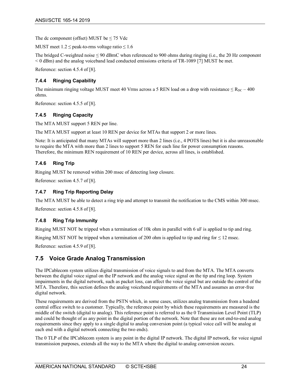The dc component (offset) MUST be  $\leq$  75 Vdc

MUST meet  $1.2 \le$  peak-to-rms voltage ratio  $\le 1.6$ 

The bridged C-weighted noise  $\leq 90$  dBrnC when referenced to 900 ohms during ringing (i.e., the 20 Hz component < 0 dBm) and the analog voiceband lead conducted emissions criteria of TR-1089 [\[7\]](#page-8-16) MUST be met.

Reference: section 4.5.4 of [\[8\].](#page-8-12)

# <span id="page-23-0"></span>**7.4.4 Ringing Capability**

The minimum ringing voltage MUST meet 40 Vrms across a 5 REN load on a drop with resistance  $\leq R_{DC} - 400$ ohms.

Reference: section 4.5.5 of [\[8\].](#page-8-12)

#### <span id="page-23-1"></span>**7.4.5 Ringing Capacity**

The MTA MUST support 5 REN per line.

The MTA MUST support at least 10 REN per device for MTAs that support 2 or more lines.

Note: It is anticipated that many MTAs will support more than 2 lines (i.e., 4 POTS lines) but it is also unreasonable to require the MTA with more than 2 lines to support 5 REN for each line for power consumption reasons. Therefore, the minimum REN requirement of 10 REN per device, across all lines, is established.

# <span id="page-23-2"></span>**7.4.6 Ring Trip**

Ringing MUST be removed within 200 msec of detecting loop closure.

Reference: section 4.5.7 of [\[8\].](#page-8-12)

#### <span id="page-23-3"></span>**7.4.7 Ring Trip Reporting Delay**

The MTA MUST be able to detect a ring trip and attempt to transmit the notification to the CMS within 300 msec. Reference: section 4.5.8 of [\[8\].](#page-8-12)

# <span id="page-23-4"></span>**7.4.8 Ring Trip Immunity**

Ringing MUST NOT be tripped when a termination of 10k ohm in parallel with 6 uF is applied to tip and ring.

Ringing MUST NOT be tripped when a termination of 200 ohm is applied to tip and ring for  $\leq 12$  msec.

Reference: section 4.5.9 of [\[8\].](#page-8-12)

# <span id="page-23-5"></span>**7.5 Voice Grade Analog Transmission**

The IPCablecom system utilizes digital transmission of voice signals to and from the MTA. The MTA converts between the digital voice signal on the IP network and the analog voice signal on the tip and ring loop. System impairments in the digital network, such as packet loss, can affect the voice signal but are outside the control of the MTA. Therefore, this section defines the analog voiceband requirements of the MTA and assumes an error-free digital network.

These requirements are derived from the PSTN which, in some cases, utilizes analog transmission from a headend central office switch to a customer. Typically, the reference point by which these requirements are measured is the middle of the switch (digital to analog). This reference point is referred to as the 0 Transmission Level Point (TLP) and could be thought of as any point in the digital portion of the network. Note that these are not end-to-end analog requirements since they apply to a single digital to analog conversion point (a typical voice call will be analog at each end with a digital network connecting the two ends).

The 0 TLP of the IPCablecom system is any point in the digital IP network. The digital IP network, for voice signal transmission purposes, extends all the way to the MTA where the digital to analog conversion occurs.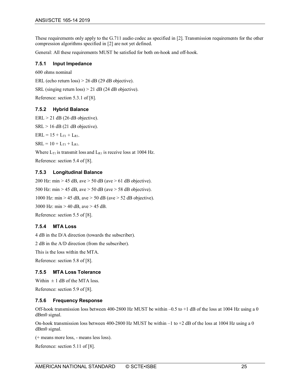These requirements only apply to the G.711 audio codec as specified i[n \[2\].](#page-8-4) Transmission requirements for the other compression algorithms specified in [\[2\]](#page-8-4) are not yet defined.

General: All these requirements MUST be satisfied for both on-hook and off-hook.

#### <span id="page-24-0"></span>**7.5.1 Input Impedance**

600 ohms nominal

ERL (echo return loss) > 26 dB (29 dB objective).

SRL (singing return loss) > 21 dB (24 dB objective).

Reference: section 5.3.1 of [\[8\].](#page-8-12)

#### <span id="page-24-1"></span>**7.5.2 Hybrid Balance**

 $ERL > 21$  dB (26 dB objective). SRL > 16 dB (21 dB objective).  $ERL = 15 + L_{T1} + L_{R1}$ .  $SRL = 10 + L_{T1} + L_{R1}$ . Where  $L_{T1}$  is transmit loss and  $L_{R1}$  is receive loss at 1004 Hz. Reference: section 5.4 o[f \[8\].](#page-8-12)

# <span id="page-24-2"></span>**7.5.3 Longitudinal Balance**

200 Hz: min > 45 dB, ave > 50 dB (ave > 61 dB objective). 500 Hz: min > 45 dB, ave > 50 dB (ave > 58 dB objective). 1000 Hz: min > 45 dB, ave > 50 dB (ave > 52 dB objective). 3000 Hz: min > 40 dB, ave > 45 dB. Reference: section 5.5 o[f \[8\].](#page-8-12)

#### <span id="page-24-3"></span>**7.5.4 MTA Loss**

4 dB in the D/A direction (towards the subscriber).

2 dB in the A/D direction (from the subscriber).

This is the loss within the MTA.

Reference: section 5.8 o[f \[8\].](#page-8-12)

# <span id="page-24-4"></span>**7.5.5 MTA Loss Tolerance**

```
Within \pm 1 dB of the MTA loss.
Reference: section 5.9 of [8].
```
#### <span id="page-24-5"></span>**7.5.6 Frequency Response**

Off-hook transmission loss between 400-2800 Hz MUST be within  $-0.5$  to  $+1$  dB of the loss at 1004 Hz using a 0 dBm0 signal.

On-hook transmission loss between 400-2800 Hz MUST be within  $-1$  to  $+2$  dB of the loss at 1004 Hz using a 0 dBm0 signal.

(+ means more loss, - means less loss).

Reference: section 5.11 o[f \[8\].](#page-8-12)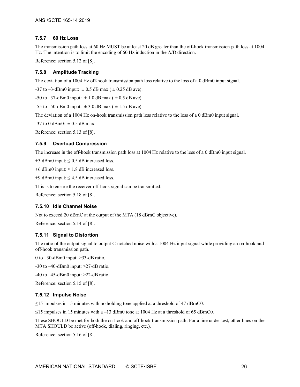#### <span id="page-25-0"></span>**7.5.7 60 Hz Loss**

The transmission path loss at 60 Hz MUST be at least 20 dB greater than the off-hook transmission path loss at 1004 Hz. The intention is to limit the encoding of 60 Hz induction in the A/D direction.

Reference: section 5.12 o[f \[8\].](#page-8-12)

#### <span id="page-25-1"></span>**7.5.8 Amplitude Tracking**

The deviation of a 1004 Hz off-hook transmission path loss relative to the loss of a 0 dBm0 input signal.

-37 to -3-dBm0 input:  $\pm 0.5$  dB max ( $\pm 0.25$  dB ave).

-50 to –37-dBm0 input:  $\pm 1.0$  dB max ( $\pm 0.5$  dB ave).

-55 to –50-dBm0 input:  $\pm 3.0$  dB max ( $\pm 1.5$  dB ave).

The deviation of a 1004 Hz on-hook transmission path loss relative to the loss of a 0 dBm0 input signal.

-37 to 0 dBm0:  $\pm$  0.5 dB max.

Reference: section 5.13 o[f \[8\].](#page-8-12)

#### <span id="page-25-2"></span>**7.5.9 Overload Compression**

The increase in the off-hook transmission path loss at 1004 Hz relative to the loss of a 0 dBm0 input signal.

+3 dBm0 input:  $\leq$  0.5 dB increased loss.

 $+6$  dBm0 input:  $\leq 1.8$  dB increased loss.

+9 dBm0 input:  $\leq$  4.5 dB increased loss.

This is to ensure the receiver off-hook signal can be transmitted.

Reference: section 5.18 o[f \[8\].](#page-8-12)

#### <span id="page-25-3"></span>**7.5.10 Idle Channel Noise**

Not to exceed 20 dBrnC at the output of the MTA (18 dBrnC objective).

Reference: section 5.14 o[f \[8\].](#page-8-12)

#### <span id="page-25-4"></span>**7.5.11 Signal to Distortion**

The ratio of the output signal to output C-notched noise with a 1004 Hz input signal while providing an on-hook and off-hook transmission path.

0 to  $-30$ -dBm0 input:  $>33$ -dB ratio.

-30 to  $-40$ -dBm0 input:  $>27$ -dB ratio.

-40 to  $-45$ -dBm0 input:  $>22$ -dB ratio.

Reference: section 5.15 o[f \[8\].](#page-8-12)

#### <span id="page-25-5"></span>**7.5.12 Impulse Noise**

≤15 impulses in 15 minutes with no holding tone applied at a threshold of 47 dBrnC0.

 $\leq$ 15 impulses in 15 minutes with a -13 dBm0 tone at 1004 Hz at a threshold of 65 dBrnC0.

These SHOULD be met for both the on-hook and off-hook transmission path. For a line under test, other lines on the MTA SHOULD be active (off-hook, dialing, ringing, etc.).

Reference: section 5.16 o[f \[8\].](#page-8-12)